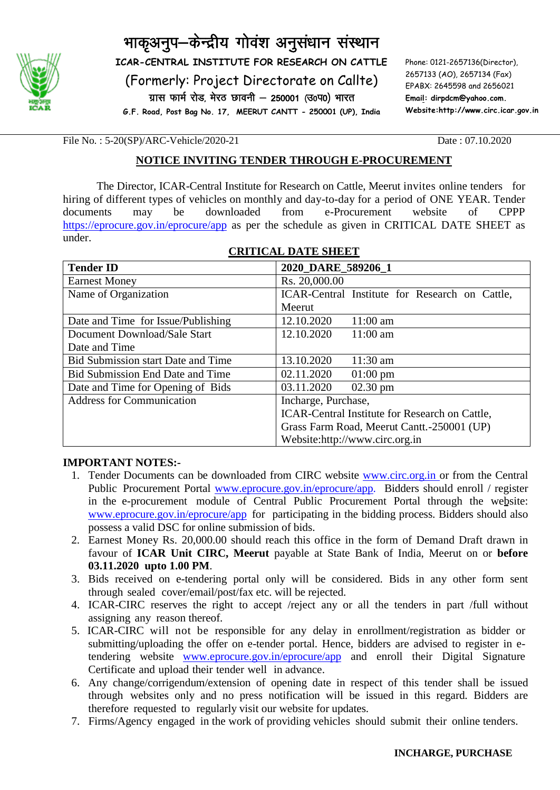

# भाकृअनुप-केन्द्रीय गोवंश अनुसंधान संस्थान

**ICAR-CENTRAL INSTITUTE FOR RESEARCH ON CATTLE**

(Formerly: Project Directorate on Callte)

ग्रास फार्म रोड, मेरठ छावनी – 250001 (उ०प0) भारत

**G.F. Road, Post Bag No. 17, MEERUT CANTT - 250001 (UP), India**

Phone: 0121-2657136(Director), 2657133 (AO), 2657134 (Fax) EPABX: 2645598 and 2656021 **Email: dirpdcm@yahoo.com. Website:http://www.circ.icar.gov.in**

File No. : 5-20(SP)/ARC-Vehicle/2020-21 Date : 07.10.2020

#### **NOTICE INVITING TENDER THROUGH E-PROCUREMENT**

The Director, ICAR-Central Institute for Research on Cattle, Meerut invites online tenders for hiring of different types of vehicles on monthly and day-to-day for a period of ONE YEAR. Tender documents may be downloaded from e-Procurement website of CPPP <https://eprocure.gov.in/eprocure/app> as per the schedule as given in CRITICAL DATE SHEET as under.

| <b>Tender ID</b>                        | 2020_DARE_589206_1                                    |  |  |
|-----------------------------------------|-------------------------------------------------------|--|--|
| <b>Earnest Money</b>                    | Rs. 20,000.00                                         |  |  |
| Name of Organization                    | ICAR-Central Institute for Research on Cattle,        |  |  |
|                                         | Meerut                                                |  |  |
| Date and Time for Issue/Publishing      | 12.10.2020<br>$11:00 \text{ am}$                      |  |  |
| Document Download/Sale Start            | 12.10.2020<br>$11:00$ am                              |  |  |
| Date and Time                           |                                                       |  |  |
| Bid Submission start Date and Time      | 13.10.2020<br>$11:30 \text{ am}$                      |  |  |
| <b>Bid Submission End Date and Time</b> | 02.11.2020<br>$01:00 \text{ pm}$                      |  |  |
| Date and Time for Opening of Bids       | 03.11.2020<br>$02.30$ pm                              |  |  |
| <b>Address for Communication</b>        | Incharge, Purchase,                                   |  |  |
|                                         | <b>ICAR-Central Institute for Research on Cattle,</b> |  |  |
|                                         | Grass Farm Road, Meerut Cantt. - 250001 (UP)          |  |  |
|                                         | Website:http://www.circ.org.in                        |  |  |

### **CRITICAL DATE SHEET**

#### **IMPORTANT NOTES:-**

- 1. Tender Documents can be downloaded from CIRC website **www.circ.org.in** or from the Central Public Procurement Portal [www.eprocure.gov.in/eprocure/app.](http://www.eprocure.gov.in/eprocure/app) Bidders should enroll / register in the e-procurement module of Central Public Procurement Portal through the website: [www.eprocure.gov.in/eprocure/app](http://www.eprocure.gov.in/eprocure/app) for participating in the bidding process. Bidders should also possess a valid DSC for online submission of bids.
- 2. Earnest Money Rs. 20,000.00 should reach this office in the form of Demand Draft drawn in favour of **ICAR Unit CIRC, Meerut** payable at State Bank of India, Meerut on or **before 03.11.2020 upto 1.00 PM**.
- 3. Bids received on e-tendering portal only will be considered. Bids in any other form sent through sealed cover/email/post/fax etc. will be rejected.
- 4. ICAR-CIRC reserves the right to accept /reject any or all the tenders in part /full without assigning any reason thereof.
- 5. ICAR-CIRC will not be responsible for any delay in enrollment/registration as bidder or submitting/uploading the offer on e-tender portal. Hence, bidders are advised to register in etendering website [www.eprocure.gov.in/eprocure/app](http://www.eprocure.gov.in/) and enroll their Digital Signature Certificate and upload their tender well in advance.
- 6. Any change/corrigendum/extension of opening date in respect of this tender shall be issued through websites only and no press notification will be issued in this regard. Bidders are therefore requested to regularly visit our website for updates.
- 7. Firms/Agency engaged in the work of providing vehicles should submit their online tenders.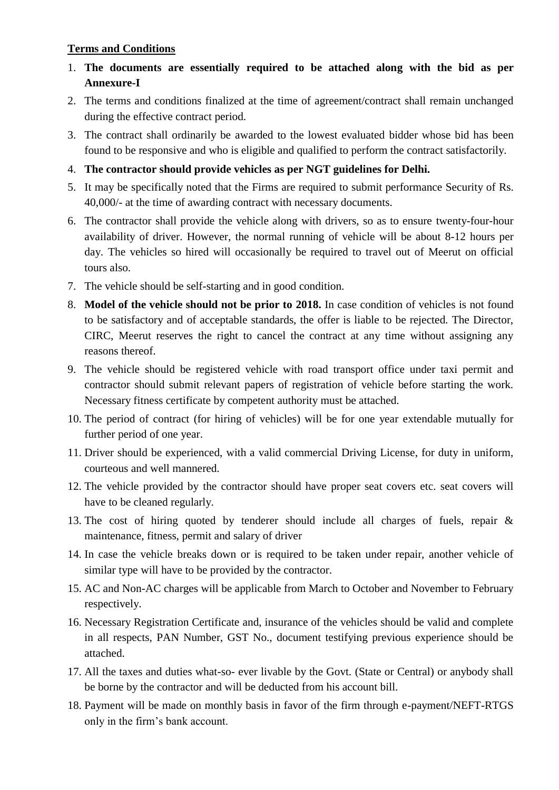#### **Terms and Conditions**

- 1. **The documents are essentially required to be attached along with the bid as per Annexure-I**
- 2. The terms and conditions finalized at the time of agreement/contract shall remain unchanged during the effective contract period.
- 3. The contract shall ordinarily be awarded to the lowest evaluated bidder whose bid has been found to be responsive and who is eligible and qualified to perform the contract satisfactorily.
- 4. **The contractor should provide vehicles as per NGT guidelines for Delhi.**
- 5. It may be specifically noted that the Firms are required to submit performance Security of Rs. 40,000/- at the time of awarding contract with necessary documents.
- 6. The contractor shall provide the vehicle along with drivers, so as to ensure twenty-four-hour availability of driver. However, the normal running of vehicle will be about 8-12 hours per day. The vehicles so hired will occasionally be required to travel out of Meerut on official tours also.
- 7. The vehicle should be self-starting and in good condition.
- 8. **Model of the vehicle should not be prior to 2018.** In case condition of vehicles is not found to be satisfactory and of acceptable standards, the offer is liable to be rejected. The Director, CIRC, Meerut reserves the right to cancel the contract at any time without assigning any reasons thereof.
- 9. The vehicle should be registered vehicle with road transport office under taxi permit and contractor should submit relevant papers of registration of vehicle before starting the work. Necessary fitness certificate by competent authority must be attached.
- 10. The period of contract (for hiring of vehicles) will be for one year extendable mutually for further period of one year.
- 11. Driver should be experienced, with a valid commercial Driving License, for duty in uniform, courteous and well mannered.
- 12. The vehicle provided by the contractor should have proper seat covers etc. seat covers will have to be cleaned regularly.
- 13. The cost of hiring quoted by tenderer should include all charges of fuels, repair & maintenance, fitness, permit and salary of driver
- 14. In case the vehicle breaks down or is required to be taken under repair, another vehicle of similar type will have to be provided by the contractor.
- 15. AC and Non-AC charges will be applicable from March to October and November to February respectively.
- 16. Necessary Registration Certificate and, insurance of the vehicles should be valid and complete in all respects, PAN Number, GST No., document testifying previous experience should be attached.
- 17. All the taxes and duties what-so- ever livable by the Govt. (State or Central) or anybody shall be borne by the contractor and will be deducted from his account bill.
- 18. Payment will be made on monthly basis in favor of the firm through e-payment/NEFT-RTGS only in the firm's bank account.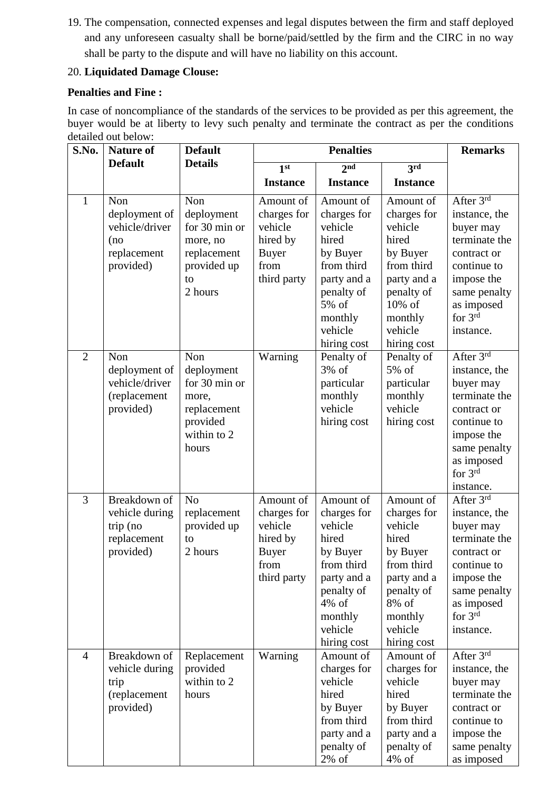19. The compensation, connected expenses and legal disputes between the firm and staff deployed and any unforeseen casualty shall be borne/paid/settled by the firm and the CIRC in no way shall be party to the dispute and will have no liability on this account.

## 20. **Liquidated Damage Clouse:**

## **Penalties and Fine :**

In case of noncompliance of the standards of the services to be provided as per this agreement, the buyer would be at liberty to levy such penalty and terminate the contract as per the conditions detailed out below:

| S.No.          | <b>Nature of</b>                                                          | <b>Default</b>                                                                                 | <b>Penalties</b>                                                                       |                                                                                                                                                      |                                                                                                                                                    | <b>Remarks</b>                                                                                                                                                                      |
|----------------|---------------------------------------------------------------------------|------------------------------------------------------------------------------------------------|----------------------------------------------------------------------------------------|------------------------------------------------------------------------------------------------------------------------------------------------------|----------------------------------------------------------------------------------------------------------------------------------------------------|-------------------------------------------------------------------------------------------------------------------------------------------------------------------------------------|
|                | <b>Default</b>                                                            | <b>Details</b>                                                                                 | 1 <sup>st</sup>                                                                        | 2 <sub>nd</sub><br>3rd                                                                                                                               |                                                                                                                                                    |                                                                                                                                                                                     |
|                |                                                                           |                                                                                                | <b>Instance</b>                                                                        | <b>Instance</b>                                                                                                                                      | <b>Instance</b>                                                                                                                                    |                                                                                                                                                                                     |
| 1              | Non<br>deployment of<br>vehicle/driver<br>(no<br>replacement<br>provided) | Non<br>deployment<br>for 30 min or<br>more, no<br>replacement<br>provided up<br>to<br>2 hours  | Amount of<br>charges for<br>vehicle<br>hired by<br><b>Buyer</b><br>from<br>third party | Amount of<br>charges for<br>vehicle<br>hired<br>by Buyer<br>from third<br>party and a<br>penalty of<br>5% of<br>monthly<br>vehicle<br>hiring cost    | Amount of<br>charges for<br>vehicle<br>hired<br>by Buyer<br>from third<br>party and a<br>penalty of<br>10% of<br>monthly<br>vehicle<br>hiring cost | After $3^{\overline{\text{rd}}}$<br>instance, the<br>buyer may<br>terminate the<br>contract or<br>continue to<br>impose the<br>same penalty<br>as imposed<br>for $3rd$<br>instance. |
| $\overline{2}$ | Non<br>deployment of<br>vehicle/driver<br>(replacement<br>provided)       | Non<br>deployment<br>for 30 min or<br>more,<br>replacement<br>provided<br>within to 2<br>hours | Warning                                                                                | Penalty of<br>3% of<br>particular<br>monthly<br>vehicle<br>hiring cost                                                                               | Penalty of<br>5% of<br>particular<br>monthly<br>vehicle<br>hiring cost                                                                             | After 3rd<br>instance, the<br>buyer may<br>terminate the<br>contract or<br>continue to<br>impose the<br>same penalty<br>as imposed<br>for $3rd$<br>instance.                        |
| 3              | Breakdown of<br>vehicle during<br>trip (no<br>replacement<br>provided)    | N <sub>o</sub><br>replacement<br>provided up<br>to<br>2 hours                                  | Amount of<br>charges for<br>vehicle<br>hired by<br><b>Buyer</b><br>from<br>third party | Amount of<br>charges for<br>vehicle<br>hired<br>by Buyer<br>from third<br>party and a<br>penalty of<br>$4\%$ of<br>monthly<br>vehicle<br>hiring cost | Amount of<br>charges for<br>vehicle<br>hired<br>by Buyer<br>from third<br>party and a<br>penalty of<br>8% of<br>monthly<br>vehicle<br>hiring cost  | After $3^{\overline{\text{rd}}}$<br>instance, the<br>buyer may<br>terminate the<br>contract or<br>continue to<br>impose the<br>same penalty<br>as imposed<br>for $3rd$<br>instance. |
| $\overline{4}$ | Breakdown of<br>vehicle during<br>trip<br>(replacement<br>provided)       | Replacement<br>provided<br>within to 2<br>hours                                                | Warning                                                                                | Amount of<br>charges for<br>vehicle<br>hired<br>by Buyer<br>from third<br>party and a<br>penalty of<br>$2\%$ of                                      | Amount of<br>charges for<br>vehicle<br>hired<br>by Buyer<br>from third<br>party and a<br>penalty of<br>$4\%$ of                                    | After 3rd<br>instance, the<br>buyer may<br>terminate the<br>contract or<br>continue to<br>impose the<br>same penalty<br>as imposed                                                  |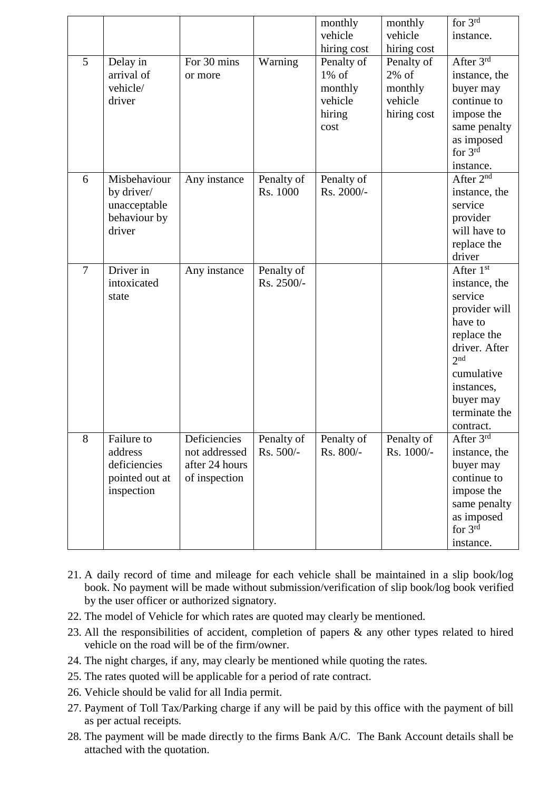|   |                |                               |                         | monthly     | monthly     | for 3rd                    |
|---|----------------|-------------------------------|-------------------------|-------------|-------------|----------------------------|
|   |                |                               |                         | vehicle     | vehicle     | instance.                  |
|   |                |                               |                         | hiring cost | hiring cost |                            |
| 5 | Delay in       | For 30 mins                   | Warning                 | Penalty of  | Penalty of  | After 3rd                  |
|   | arrival of     | or more                       |                         | $1\%$ of    | $2\%$ of    | instance, the              |
|   | vehicle/       |                               |                         | monthly     | monthly     | buyer may                  |
|   | driver         |                               |                         | vehicle     | vehicle     | continue to                |
|   |                |                               |                         | hiring      | hiring cost | impose the                 |
|   |                |                               |                         | cost        |             | same penalty               |
|   |                |                               |                         |             |             | as imposed                 |
|   |                |                               |                         |             |             | for $3rd$                  |
|   |                |                               |                         |             |             | instance.                  |
| 6 | Misbehaviour   | Any instance                  | Penalty of              | Penalty of  |             | After $2^{n\overline{d}}$  |
|   | by driver/     |                               | Rs. 1000                | Rs. 2000/-  |             | instance, the              |
|   | unacceptable   |                               |                         |             |             | service                    |
|   | behaviour by   |                               |                         |             |             | provider                   |
|   | driver         |                               |                         |             |             | will have to               |
|   |                |                               |                         |             |             | replace the                |
|   |                |                               |                         |             |             | driver                     |
| 7 | Driver in      | Any instance                  | Penalty of              |             |             | After 1st                  |
|   | intoxicated    |                               | Rs. 2500/-              |             |             | instance, the              |
|   | state          |                               |                         |             |             | service                    |
|   |                |                               |                         |             |             | provider will              |
|   |                |                               |                         |             |             | have to                    |
|   |                |                               |                         |             |             | replace the                |
|   |                |                               |                         |             |             | driver. After              |
|   |                |                               |                         |             |             | 2 <sup>nd</sup>            |
|   |                |                               |                         |             |             | cumulative                 |
|   |                |                               |                         |             |             | instances,                 |
|   |                |                               |                         |             |             | buyer may                  |
|   |                |                               |                         |             |             | terminate the              |
|   |                |                               |                         |             |             | contract.                  |
| 8 | Failure to     | Deficiencies<br>not addressed | Penalty of<br>Rs. 500/- | Penalty of  | Penalty of  | After $3rd$                |
|   | address        |                               |                         | Rs. 800/-   | Rs. 1000/-  | instance, the              |
|   | deficiencies   | after 24 hours                |                         |             |             | buyer may<br>continue to   |
|   | pointed out at | of inspection                 |                         |             |             |                            |
|   | inspection     |                               |                         |             |             | impose the                 |
|   |                |                               |                         |             |             | same penalty<br>as imposed |
|   |                |                               |                         |             |             | for $3rd$                  |
|   |                |                               |                         |             |             |                            |
|   |                |                               |                         |             |             | instance.                  |

- 21. A daily record of time and mileage for each vehicle shall be maintained in a slip book/log book. No payment will be made without submission/verification of slip book/log book verified by the user officer or authorized signatory.
- 22. The model of Vehicle for which rates are quoted may clearly be mentioned.
- 23. All the responsibilities of accident, completion of papers & any other types related to hired vehicle on the road will be of the firm/owner.
- 24. The night charges, if any, may clearly be mentioned while quoting the rates.
- 25. The rates quoted will be applicable for a period of rate contract.
- 26. Vehicle should be valid for all India permit.
- 27. Payment of Toll Tax/Parking charge if any will be paid by this office with the payment of bill as per actual receipts.
- 28. The payment will be made directly to the firms Bank A/C. The Bank Account details shall be attached with the quotation.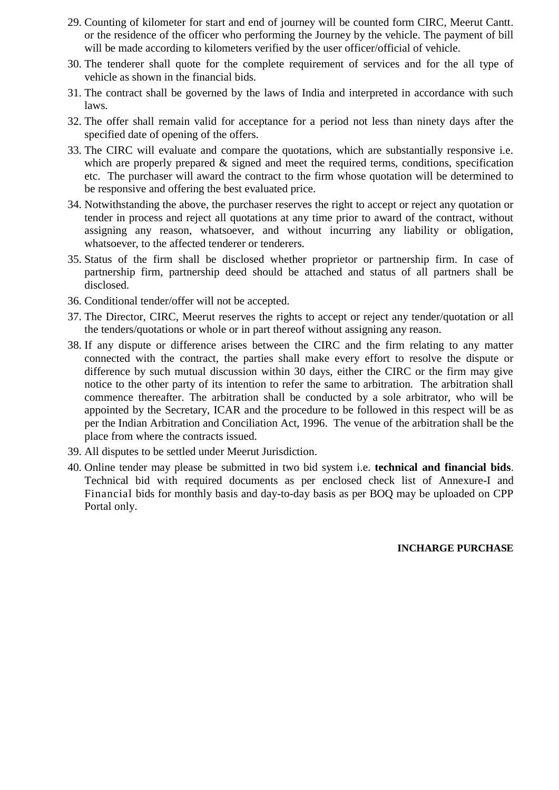- 29. Counting of kilometer for start and end of journey will be counted form CIRC, Meerut Cantt. or the residence of the officer who performing the Journey by the vehicle. The payment of bill will be made according to kilometers verified by the user officer/official of vehicle.
- 30. The tenderer shall quote for the complete requirement of services and for the all type of vehicle as shown in the financial bids.
- 31. The contract shall be governed by the laws of India and interpreted in accordance with such laws.
- 32. The offer shall remain valid for acceptance for a period not less than ninety days after the specified date of opening of the offers.
- 33. The CIRC will evaluate and compare the quotations, which are substantially responsive i.e. which are properly prepared  $\&$  signed and meet the required terms, conditions, specification etc. The purchaser will award the contract to the firm whose quotation will be determined to be responsive and offering the best evaluated price.
- 34. Notwithstanding the above, the purchaser reserves the right to accept or reject any quotation or tender in process and reject all quotations at any time prior to award of the contract, without assigning any reason, whatsoever, and without incurring any liability or obligation, whatsoever, to the affected tenderer or tenderers.
- 35. Status of the firm shall be disclosed whether proprietor or partnership firm. In case of partnership firm, partnership deed should be attached and status of all partners shall be disclosed.
- 36. Conditional tender/offer will not be accepted.
- 37. The Director, CIRC, Meerut reserves the rights to accept or reject any tender/quotation or all the tenders/quotations or whole or in part thereof without assigning any reason.
- 38. If any dispute or difference arises between the CIRC and the firm relating to any matter connected with the contract, the parties shall make every effort to resolve the dispute or difference by such mutual discussion within 30 days, either the CIRC or the firm may give notice to the other party of its intention to refer the same to arbitration. The arbitration shall commence thereafter. The arbitration shall be conducted by a sole arbitrator, who will be appointed by the Secretary, ICAR and the procedure to be followed in this respect will be as per the Indian Arbitration and Conciliation Act, 1996. The venue of the arbitration shall be the place from where the contracts issued.
- 39. All disputes to be settled under Meerut Jurisdiction.
- 40. Online tender may please be submitted in two bid system i.e. **technical and financial bids**. Technical bid with required documents as per enclosed check list of Annexure-I and Financial bids for monthly basis and day-to-day basis as per BOQ may be uploaded on CPP Portal only.

#### **INCHARGE PURCHASE**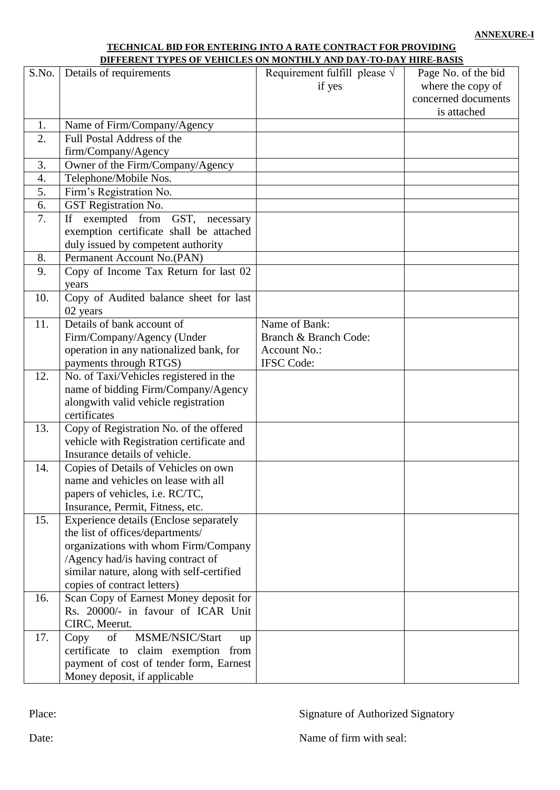#### **TECHNICAL BID FOR ENTERING INTO A RATE CONTRACT FOR PROVIDING DIFFERENT TYPES OF VEHICLES ON MONTHLY AND DAY-TO-DAY HIRE-BASIS**

| S.No. | Details of requirements                   | Requirement fulfill please $\sqrt{}$ | Page No. of the bid |
|-------|-------------------------------------------|--------------------------------------|---------------------|
|       |                                           | if yes                               | where the copy of   |
|       |                                           |                                      | concerned documents |
|       |                                           |                                      | is attached         |
| 1.    | Name of Firm/Company/Agency               |                                      |                     |
| 2.    | Full Postal Address of the                |                                      |                     |
|       | firm/Company/Agency                       |                                      |                     |
| 3.    | Owner of the Firm/Company/Agency          |                                      |                     |
| 4.    | Telephone/Mobile Nos.                     |                                      |                     |
| 5.    | Firm's Registration No.                   |                                      |                     |
| 6.    | GST Registration No.                      |                                      |                     |
| 7.    | If exempted from GST, necessary           |                                      |                     |
|       | exemption certificate shall be attached   |                                      |                     |
|       | duly issued by competent authority        |                                      |                     |
| 8.    | Permanent Account No.(PAN)                |                                      |                     |
| 9.    | Copy of Income Tax Return for last 02     |                                      |                     |
|       | years                                     |                                      |                     |
| 10.   | Copy of Audited balance sheet for last    |                                      |                     |
|       | 02 years                                  |                                      |                     |
| 11.   | Details of bank account of                | Name of Bank:                        |                     |
|       | Firm/Company/Agency (Under                | Branch & Branch Code:                |                     |
|       | operation in any nationalized bank, for   | <b>Account No.:</b>                  |                     |
|       | payments through RTGS)                    | <b>IFSC</b> Code:                    |                     |
| 12.   | No. of Taxi/Vehicles registered in the    |                                      |                     |
|       | name of bidding Firm/Company/Agency       |                                      |                     |
|       | alongwith valid vehicle registration      |                                      |                     |
|       | certificates                              |                                      |                     |
| 13.   | Copy of Registration No. of the offered   |                                      |                     |
|       | vehicle with Registration certificate and |                                      |                     |
|       | Insurance details of vehicle.             |                                      |                     |
| 14.   | Copies of Details of Vehicles on own      |                                      |                     |
|       | name and vehicles on lease with all       |                                      |                     |
|       | papers of vehicles, i.e. RC/TC,           |                                      |                     |
|       | Insurance, Permit, Fitness, etc.          |                                      |                     |
| 15.   | Experience details (Enclose separately    |                                      |                     |
|       | the list of offices/departments/          |                                      |                     |
|       | organizations with whom Firm/Company      |                                      |                     |
|       | /Agency had/is having contract of         |                                      |                     |
|       | similar nature, along with self-certified |                                      |                     |
|       | copies of contract letters)               |                                      |                     |
| 16.   | Scan Copy of Earnest Money deposit for    |                                      |                     |
|       | Rs. 20000/- in favour of ICAR Unit        |                                      |                     |
|       | CIRC, Meerut.                             |                                      |                     |
| 17.   | Copy<br>of<br>MSME/NSIC/Start<br>up       |                                      |                     |
|       | certificate to claim exemption from       |                                      |                     |
|       | payment of cost of tender form, Earnest   |                                      |                     |
|       | Money deposit, if applicable              |                                      |                     |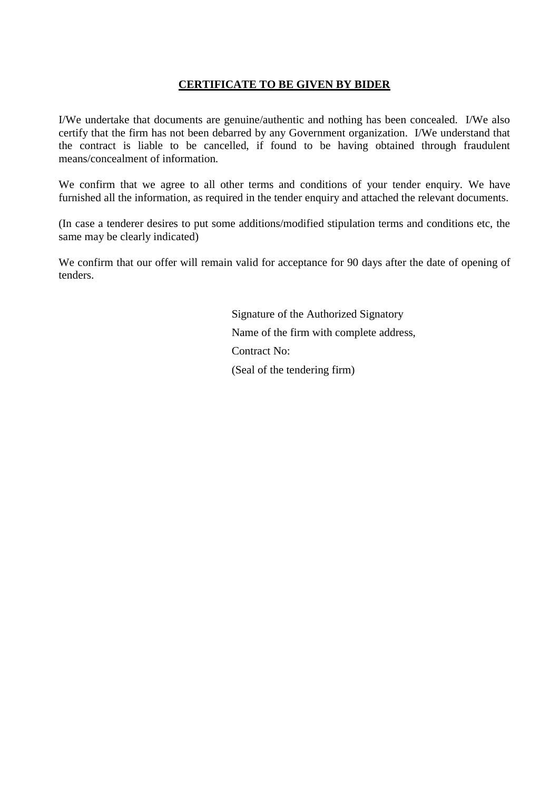#### **CERTIFICATE TO BE GIVEN BY BIDER**

I/We undertake that documents are genuine/authentic and nothing has been concealed. I/We also certify that the firm has not been debarred by any Government organization. I/We understand that the contract is liable to be cancelled, if found to be having obtained through fraudulent means/concealment of information.

We confirm that we agree to all other terms and conditions of your tender enquiry. We have furnished all the information, as required in the tender enquiry and attached the relevant documents.

(In case a tenderer desires to put some additions/modified stipulation terms and conditions etc, the same may be clearly indicated)

We confirm that our offer will remain valid for acceptance for 90 days after the date of opening of tenders.

> Signature of the Authorized Signatory Name of the firm with complete address, Contract No: (Seal of the tendering firm)